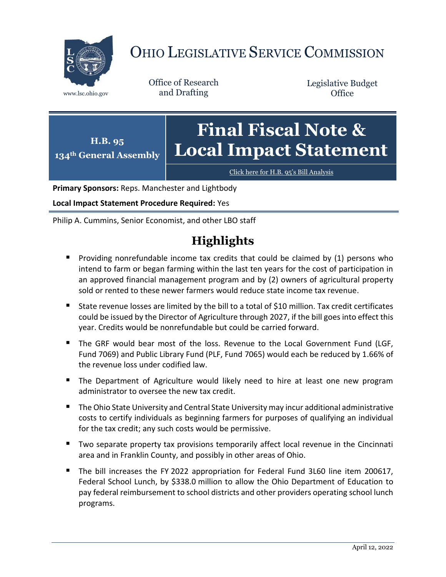

# OHIO LEGISLATIVE SERVICE COMMISSION

Office of Research www.lsc.ohio.gov and Drafting

Legislative Budget **Office** 

#### **H.B. 95 134th General Assembly Final Fiscal Note & Local Impact Statement**

[Click here for H.B. 95](https://www.legislature.ohio.gov/legislation/legislation-documents?id=GA134-HB-95)'s Bill Analysis

**Primary Sponsors:** Reps. Manchester and Lightbody

**Local Impact Statement Procedure Required:** Yes

Philip A. Cummins, Senior Economist, and other LBO staff

# **Highlights**

- **Providing nonrefundable income tax credits that could be claimed by (1) persons who** intend to farm or began farming within the last ten years for the cost of participation in an approved financial management program and by (2) owners of agricultural property sold or rented to these newer farmers would reduce state income tax revenue.
- State revenue losses are limited by the bill to a total of \$10 million. Tax credit certificates could be issued by the Director of Agriculture through 2027, if the bill goes into effect this year. Credits would be nonrefundable but could be carried forward.
- The GRF would bear most of the loss. Revenue to the Local Government Fund (LGF, Fund 7069) and Public Library Fund (PLF, Fund 7065) would each be reduced by 1.66% of the revenue loss under codified law.
- **The Department of Agriculture would likely need to hire at least one new program** administrator to oversee the new tax credit.
- The Ohio State University and Central State University may incur additional administrative costs to certify individuals as beginning farmers for purposes of qualifying an individual for the tax credit; any such costs would be permissive.
- **T** Two separate property tax provisions temporarily affect local revenue in the Cincinnati area and in Franklin County, and possibly in other areas of Ohio.
- The bill increases the FY 2022 appropriation for Federal Fund 3L60 line item 200617, Federal School Lunch, by \$338.0 million to allow the Ohio Department of Education to pay federal reimbursement to school districts and other providers operating school lunch programs.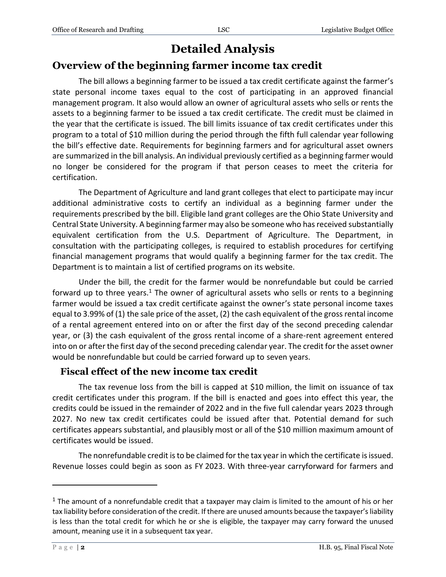## **Detailed Analysis**

#### **Overview of the beginning farmer income tax credit**

The bill allows a beginning farmer to be issued a tax credit certificate against the farmer's state personal income taxes equal to the cost of participating in an approved financial management program. It also would allow an owner of agricultural assets who sells or rents the assets to a beginning farmer to be issued a tax credit certificate. The credit must be claimed in the year that the certificate is issued. The bill limits issuance of tax credit certificates under this program to a total of \$10 million during the period through the fifth full calendar year following the bill's effective date. Requirements for beginning farmers and for agricultural asset owners are summarized in the bill analysis. An individual previously certified as a beginning farmer would no longer be considered for the program if that person ceases to meet the criteria for certification.

The Department of Agriculture and land grant colleges that elect to participate may incur additional administrative costs to certify an individual as a beginning farmer under the requirements prescribed by the bill. Eligible land grant colleges are the Ohio State University and Central State University. A beginning farmer may also be someone who has received substantially equivalent certification from the U.S. Department of Agriculture. The Department, in consultation with the participating colleges, is required to establish procedures for certifying financial management programs that would qualify a beginning farmer for the tax credit. The Department is to maintain a list of certified programs on its website.

Under the bill, the credit for the farmer would be nonrefundable but could be carried forward up to three years.<sup>1</sup> The owner of agricultural assets who sells or rents to a beginning farmer would be issued a tax credit certificate against the owner's state personal income taxes equal to 3.99% of (1) the sale price of the asset, (2) the cash equivalent of the gross rental income of a rental agreement entered into on or after the first day of the second preceding calendar year, or (3) the cash equivalent of the gross rental income of a share-rent agreement entered into on or after the first day of the second preceding calendar year. The credit for the asset owner would be nonrefundable but could be carried forward up to seven years.

#### **Fiscal effect of the new income tax credit**

The tax revenue loss from the bill is capped at \$10 million, the limit on issuance of tax credit certificates under this program. If the bill is enacted and goes into effect this year, the credits could be issued in the remainder of 2022 and in the five full calendar years 2023 through 2027. No new tax credit certificates could be issued after that. Potential demand for such certificates appears substantial, and plausibly most or all of the \$10 million maximum amount of certificates would be issued.

The nonrefundable credit is to be claimed for the tax year in which the certificate is issued. Revenue losses could begin as soon as FY 2023. With three-year carryforward for farmers and

 $\overline{a}$ 

<sup>&</sup>lt;sup>1</sup> The amount of a nonrefundable credit that a taxpayer may claim is limited to the amount of his or her tax liability before consideration of the credit. If there are unused amounts because the taxpayer's liability is less than the total credit for which he or she is eligible, the taxpayer may carry forward the unused amount, meaning use it in a subsequent tax year.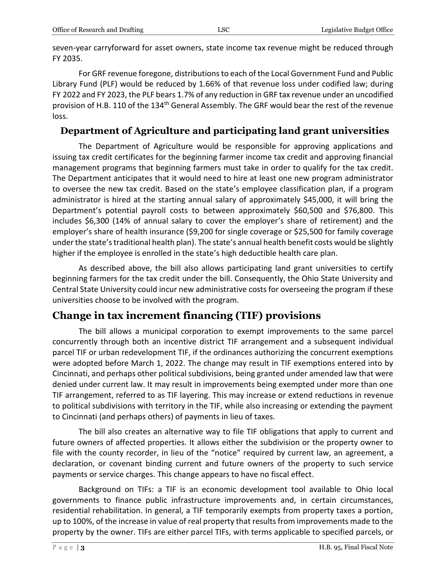seven-year carryforward for asset owners, state income tax revenue might be reduced through FY 2035.

For GRF revenue foregone, distributions to each of the Local Government Fund and Public Library Fund (PLF) would be reduced by 1.66% of that revenue loss under codified law; during FY 2022 and FY 2023, the PLF bears 1.7% of any reduction in GRF tax revenue under an uncodified provision of H.B. 110 of the 134<sup>th</sup> General Assembly. The GRF would bear the rest of the revenue loss.

#### **Department of Agriculture and participating land grant universities**

The Department of Agriculture would be responsible for approving applications and issuing tax credit certificates for the beginning farmer income tax credit and approving financial management programs that beginning farmers must take in order to qualify for the tax credit. The Department anticipates that it would need to hire at least one new program administrator to oversee the new tax credit. Based on the state's employee classification plan, if a program administrator is hired at the starting annual salary of approximately \$45,000, it will bring the Department's potential payroll costs to between approximately \$60,500 and \$76,800. This includes \$6,300 (14% of annual salary to cover the employer's share of retirement) and the employer's share of health insurance (\$9,200 for single coverage or \$25,500 for family coverage under the state's traditional health plan). The state's annual health benefit costs would be slightly higher if the employee is enrolled in the state's high deductible health care plan.

As described above, the bill also allows participating land grant universities to certify beginning farmers for the tax credit under the bill. Consequently, the Ohio State University and Central State University could incur new administrative costs for overseeing the program if these universities choose to be involved with the program.

## **Change in tax increment financing (TIF) provisions**

The bill allows a municipal corporation to exempt improvements to the same parcel concurrently through both an incentive district TIF arrangement and a subsequent individual parcel TIF or urban redevelopment TIF, if the ordinances authorizing the concurrent exemptions were adopted before March 1, 2022. The change may result in TIF exemptions entered into by Cincinnati, and perhaps other political subdivisions, being granted under amended law that were denied under current law. It may result in improvements being exempted under more than one TIF arrangement, referred to as TIF layering. This may increase or extend reductions in revenue to political subdivisions with territory in the TIF, while also increasing or extending the payment to Cincinnati (and perhaps others) of payments in lieu of taxes.

The bill also creates an alternative way to file TIF obligations that apply to current and future owners of affected properties. It allows either the subdivision or the property owner to file with the county recorder, in lieu of the "notice" required by current law, an agreement, a declaration, or covenant binding current and future owners of the property to such service payments or service charges. This change appears to have no fiscal effect.

Background on TIFs: a TIF is an economic development tool available to Ohio local governments to finance public infrastructure improvements and, in certain circumstances, residential rehabilitation. In general, a TIF temporarily exempts from property taxes a portion, up to 100%, of the increase in value of real property that results from improvements made to the property by the owner. TIFs are either parcel TIFs, with terms applicable to specified parcels, or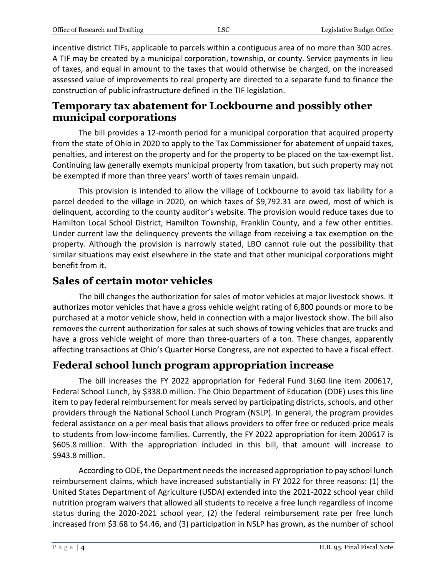incentive district TIFs, applicable to parcels within a contiguous area of no more than 300 acres. A TIF may be created by a municipal corporation, township, or county. Service payments in lieu of taxes, and equal in amount to the taxes that would otherwise be charged, on the increased assessed value of improvements to real property are directed to a separate fund to finance the construction of public infrastructure defined in the TIF legislation.

#### **Temporary tax abatement for Lockbourne and possibly other municipal corporations**

The bill provides a 12-month period for a municipal corporation that acquired property from the state of Ohio in 2020 to apply to the Tax Commissioner for abatement of unpaid taxes, penalties, and interest on the property and for the property to be placed on the tax-exempt list. Continuing law generally exempts municipal property from taxation, but such property may not be exempted if more than three years' worth of taxes remain unpaid.

This provision is intended to allow the village of Lockbourne to avoid tax liability for a parcel deeded to the village in 2020, on which taxes of \$9,792.31 are owed, most of which is delinquent, according to the county auditor's website. The provision would reduce taxes due to Hamilton Local School District, Hamilton Township, Franklin County, and a few other entities. Under current law the delinquency prevents the village from receiving a tax exemption on the property. Although the provision is narrowly stated, LBO cannot rule out the possibility that similar situations may exist elsewhere in the state and that other municipal corporations might benefit from it.

#### **Sales of certain motor vehicles**

The bill changes the authorization for sales of motor vehicles at major livestock shows. It authorizes motor vehicles that have a gross vehicle weight rating of 6,800 pounds or more to be purchased at a motor vehicle show, held in connection with a major livestock show. The bill also removes the current authorization for sales at such shows of towing vehicles that are trucks and have a gross vehicle weight of more than three-quarters of a ton. These changes, apparently affecting transactions at Ohio's Quarter Horse Congress, are not expected to have a fiscal effect.

## **Federal school lunch program appropriation increase**

The bill increases the FY 2022 appropriation for Federal Fund 3L60 line item 200617, Federal School Lunch, by \$338.0 million. The Ohio Department of Education (ODE) uses this line item to pay federal reimbursement for meals served by participating districts, schools, and other providers through the National School Lunch Program (NSLP). In general, the program provides federal assistance on a per-meal basis that allows providers to offer free or reduced-price meals to students from low-income families. Currently, the FY 2022 appropriation for item 200617 is \$605.8 million. With the appropriation included in this bill, that amount will increase to \$943.8 million.

According to ODE, the Department needs the increased appropriation to pay school lunch reimbursement claims, which have increased substantially in FY 2022 for three reasons: (1) the United States Department of Agriculture (USDA) extended into the 2021-2022 school year child nutrition program waivers that allowed all students to receive a free lunch regardless of income status during the 2020-2021 school year, (2) the federal reimbursement rate per free lunch increased from \$3.68 to \$4.46, and (3) participation in NSLP has grown, as the number of school